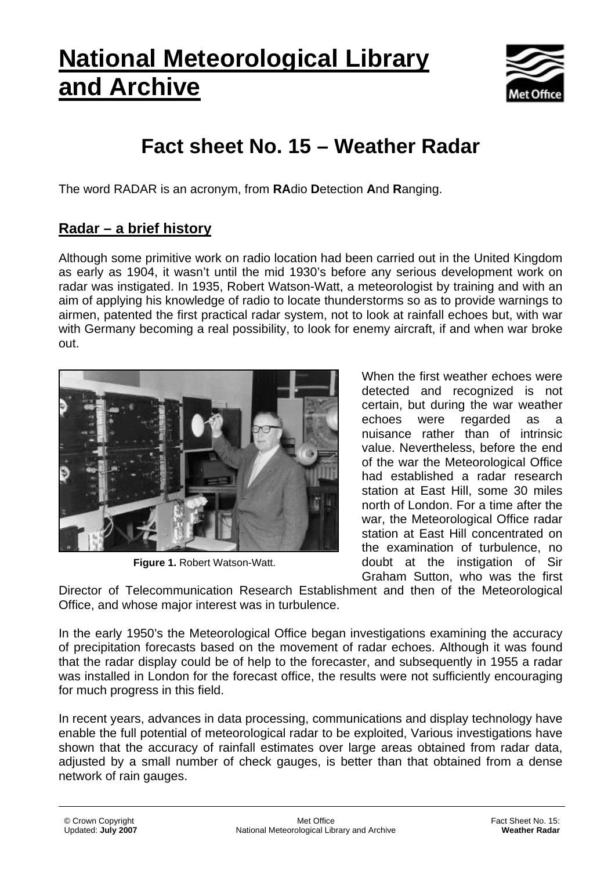# **National Meteorological Library and Archive**



## **Fact sheet No. 15 – Weather Radar**

The word RADAR is an acronym, from **RA**dio **D**etection **A**nd **R**anging.

## **Radar – a brief history**

Although some primitive work on radio location had been carried out in the United Kingdom as early as 1904, it wasn't until the mid 1930's before any serious development work on radar was instigated. In 1935, Robert Watson-Watt, a meteorologist by training and with an aim of applying his knowledge of radio to locate thunderstorms so as to provide warnings to airmen, patented the first practical radar system, not to look at rainfall echoes but, with war with Germany becoming a real possibility, to look for enemy aircraft, if and when war broke out.



**Figure 1.** Robert Watson-Watt.

When the first weather echoes were detected and recognized is not certain, but during the war weather echoes were regarded as a nuisance rather than of intrinsic value. Nevertheless, before the end of the war the Meteorological Office had established a radar research station at East Hill, some 30 miles north of London. For a time after the war, the Meteorological Office radar station at East Hill concentrated on the examination of turbulence, no doubt at the instigation of Sir Graham Sutton, who was the first

Director of Telecommunication Research Establishment and then of the Meteorological Office, and whose major interest was in turbulence.

In the early 1950's the Meteorological Office began investigations examining the accuracy of precipitation forecasts based on the movement of radar echoes. Although it was found that the radar display could be of help to the forecaster, and subsequently in 1955 a radar was installed in London for the forecast office, the results were not sufficiently encouraging for much progress in this field.

In recent years, advances in data processing, communications and display technology have enable the full potential of meteorological radar to be exploited, Various investigations have shown that the accuracy of rainfall estimates over large areas obtained from radar data, adjusted by a small number of check gauges, is better than that obtained from a dense network of rain gauges.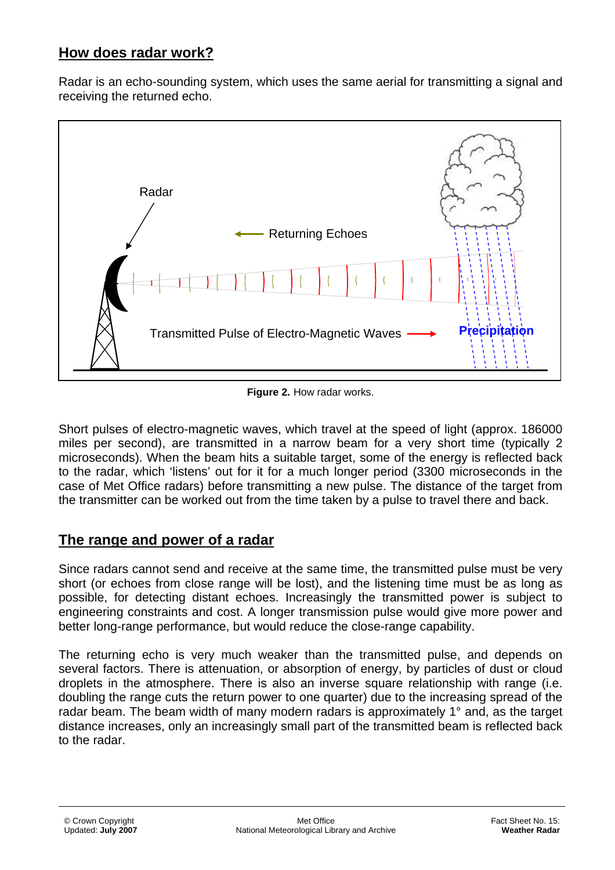## **How does radar work?**

Radar is an echo-sounding system, which uses the same aerial for transmitting a signal and receiving the returned echo.



**Figure 2.** How radar works.

Short pulses of electro-magnetic waves, which travel at the speed of light (approx. 186000 miles per second), are transmitted in a narrow beam for a very short time (typically 2 microseconds). When the beam hits a suitable target, some of the energy is reflected back to the radar, which 'listens' out for it for a much longer period (3300 microseconds in the case of Met Office radars) before transmitting a new pulse. The distance of the target from the transmitter can be worked out from the time taken by a pulse to travel there and back.

## **The range and power of a radar**

Since radars cannot send and receive at the same time, the transmitted pulse must be very short (or echoes from close range will be lost), and the listening time must be as long as possible, for detecting distant echoes. Increasingly the transmitted power is subject to engineering constraints and cost. A longer transmission pulse would give more power and better long-range performance, but would reduce the close-range capability.

The returning echo is very much weaker than the transmitted pulse, and depends on several factors. There is attenuation, or absorption of energy, by particles of dust or cloud droplets in the atmosphere. There is also an inverse square relationship with range (i.e. doubling the range cuts the return power to one quarter) due to the increasing spread of the radar beam. The beam width of many modern radars is approximately 1° and, as the target distance increases, only an increasingly small part of the transmitted beam is reflected back to the radar.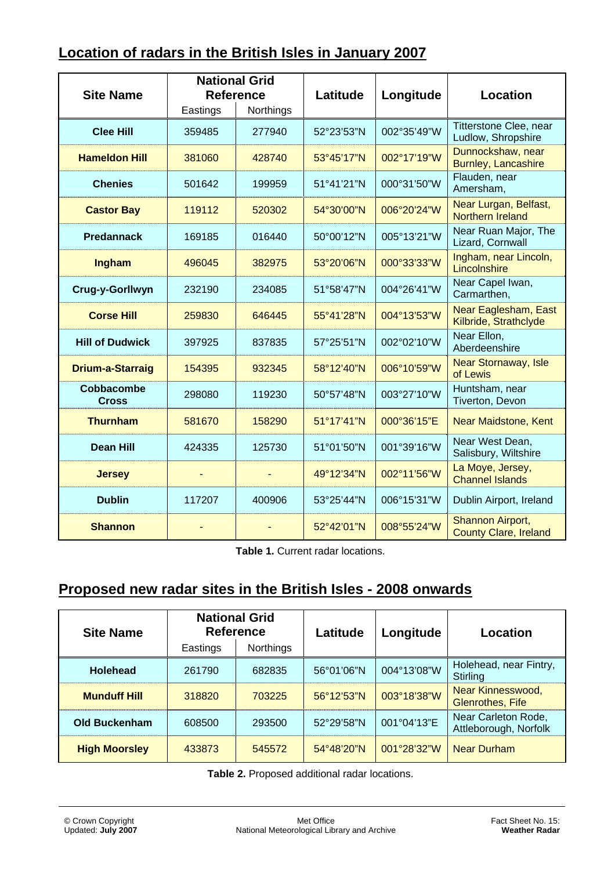## **Location of radars in the British Isles in January 2007**

| <b>Site Name</b>                  |          | <b>National Grid</b><br><b>Reference</b> | Latitude<br>Longitude |             | <b>Location</b>                                  |
|-----------------------------------|----------|------------------------------------------|-----------------------|-------------|--------------------------------------------------|
|                                   | Eastings | Northings                                |                       |             |                                                  |
| <b>Clee Hill</b>                  | 359485   | 277940                                   | 52°23'53"N            | 002°35'49"W | Titterstone Clee, near<br>Ludlow, Shropshire     |
| <b>Hameldon Hill</b>              | 381060   | 428740                                   | 53°45'17"N            | 002°17'19"W | Dunnockshaw, near<br>Burnley, Lancashire         |
| <b>Chenies</b>                    | 501642   | 199959                                   | 51°41'21"N            | 000°31'50"W | Flauden, near<br>Amersham,                       |
| <b>Castor Bay</b>                 | 119112   | 520302                                   | 54°30'00"N            | 006°20'24"W | Near Lurgan, Belfast,<br><b>Northern Ireland</b> |
| <b>Predannack</b>                 | 169185   | 016440                                   | 50°00'12"N            | 005°13'21"W | Near Ruan Major, The<br>Lizard, Cornwall         |
| Ingham                            | 496045   | 382975                                   | 53°20'06"N            | 000°33'33"W | Ingham, near Lincoln,<br>Lincolnshire            |
| Crug-y-Gorllwyn                   | 232190   | 234085                                   | 51°58'47"N            | 004°26'41"W | Near Capel Iwan,<br>Carmarthen,                  |
| <b>Corse Hill</b>                 | 259830   | 646445                                   | 55°41'28"N            | 004°13'53"W | Near Eaglesham, East<br>Kilbride, Strathclyde    |
| <b>Hill of Dudwick</b>            | 397925   | 837835                                   | 57°25'51"N            | 002°02'10"W | Near Ellon,<br>Aberdeenshire                     |
| <b>Drium-a-Starraig</b>           | 154395   | 932345                                   | 58°12'40"N            | 006°10'59"W | <b>Near Stornaway, Isle</b><br>of Lewis          |
| <b>Cobbacombe</b><br><b>Cross</b> | 298080   | 119230                                   | 50°57'48"N            | 003°27'10"W | Huntsham, near<br>Tiverton, Devon                |
| <b>Thurnham</b>                   | 581670   | 158290                                   | 51°17'41"N            | 000°36'15"E | <b>Near Maidstone, Kent</b>                      |
| <b>Dean Hill</b>                  | 424335   | 125730                                   | 51°01'50"N            | 001°39'16"W | Near West Dean,<br>Salisbury, Wiltshire          |
| <b>Jersey</b>                     |          |                                          | 49°12'34"N            | 002°11'56"W | La Moye, Jersey,<br><b>Channel Islands</b>       |
| <b>Dublin</b>                     | 117207   | 400906                                   | 53°25'44"N            | 006°15'31"W | Dublin Airport, Ireland                          |
| <b>Shannon</b>                    |          |                                          | 52°42'01"N            | 008°55'24"W | Shannon Airport,<br><b>County Clare, Ireland</b> |

**Table 1.** Current radar locations.

## **Proposed new radar sites in the British Isles - 2008 onwards**

| <b>Site Name</b>     | <b>National Grid</b><br><b>Reference</b> |                  | Latitude             | Longitude   | Location                                     |
|----------------------|------------------------------------------|------------------|----------------------|-------------|----------------------------------------------|
|                      | Eastings                                 | <b>Northings</b> |                      |             |                                              |
| <b>Holehead</b>      | 261790                                   | 682835           | 56°01'06"N           | 004°13'08"W | Holehead, near Fintry,<br>Stirling           |
| <b>Munduff Hill</b>  | 318820                                   | 703225           | $56^{\circ}12'53''N$ | 003°18'38"W | Near Kinnesswood,<br><b>Glenrothes, Fife</b> |
| <b>Old Buckenham</b> | 608500                                   | 293500           | 52°29'58"N           | 001°04'13"E | Near Carleton Rode,<br>Attleborough, Norfolk |
| <b>High Moorsley</b> | 433873                                   | 545572           | 54°48'20"N           | 001°28'32"W | <b>Near Durham</b>                           |

**Table 2.** Proposed additional radar locations.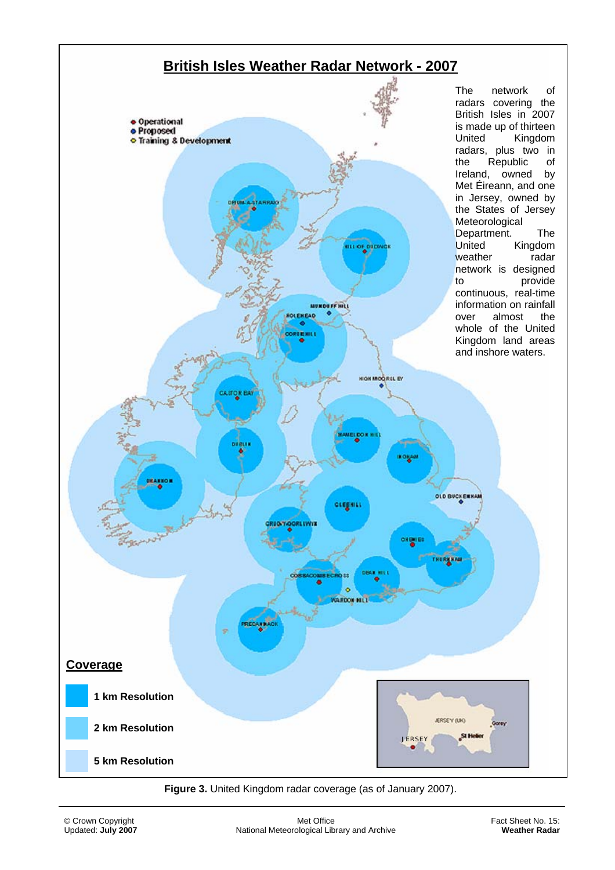

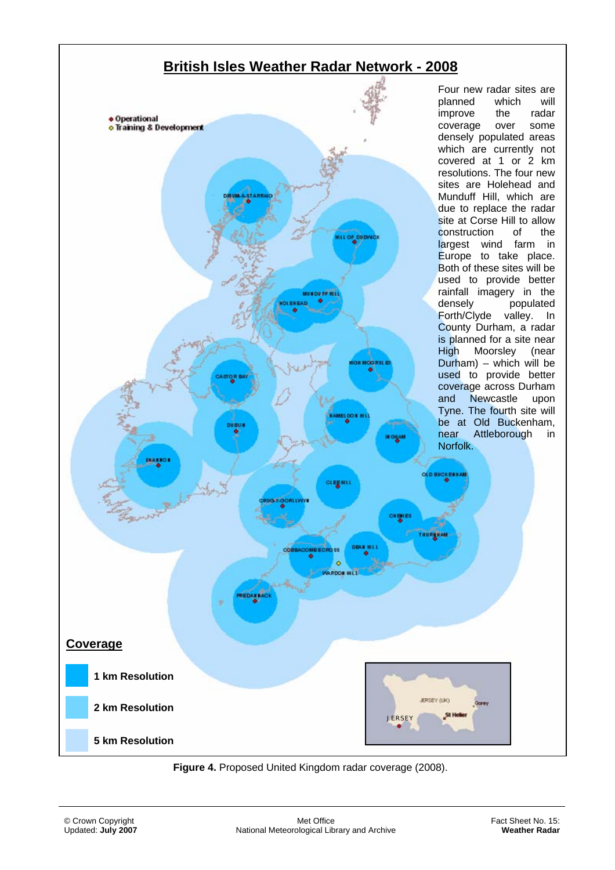

**Figure 4.** Proposed United Kingdom radar coverage (2008).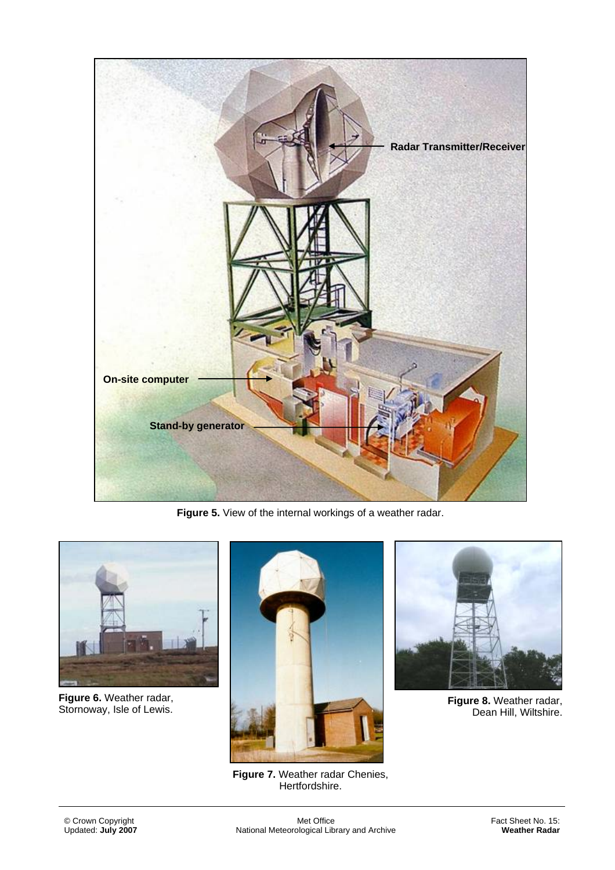

**Figure 5.** View of the internal workings of a weather radar.



**Figure 6.** Weather radar,



**Figure 7.** Weather radar Chenies, Hertfordshire.



Dean Hill, Wiltshire.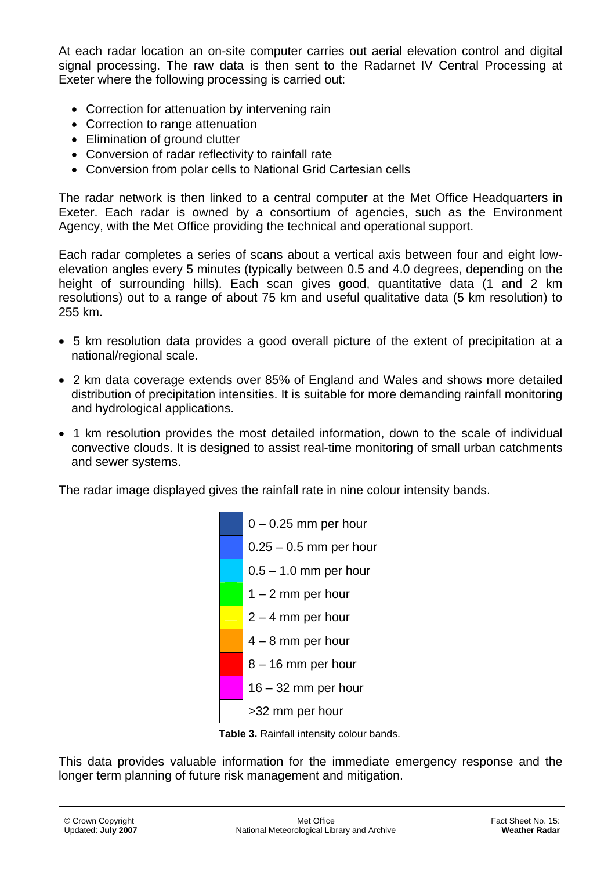At each radar location an on-site computer carries out aerial elevation control and digital signal processing. The raw data is then sent to the Radarnet IV Central Processing at Exeter where the following processing is carried out:

- Correction for attenuation by intervening rain
- Correction to range attenuation
- Elimination of ground clutter
- Conversion of radar reflectivity to rainfall rate
- Conversion from polar cells to National Grid Cartesian cells

The radar network is then linked to a central computer at the Met Office Headquarters in Exeter. Each radar is owned by a consortium of agencies, such as the Environment Agency, with the Met Office providing the technical and operational support.

Each radar completes a series of scans about a vertical axis between four and eight lowelevation angles every 5 minutes (typically between 0.5 and 4.0 degrees, depending on the height of surrounding hills). Each scan gives good, quantitative data (1 and 2 km resolutions) out to a range of about 75 km and useful qualitative data (5 km resolution) to 255 km.

- 5 km resolution data provides a good overall picture of the extent of precipitation at a national/regional scale.
- 2 km data coverage extends over 85% of England and Wales and shows more detailed distribution of precipitation intensities. It is suitable for more demanding rainfall monitoring and hydrological applications.
- 1 km resolution provides the most detailed information, down to the scale of individual convective clouds. It is designed to assist real-time monitoring of small urban catchments and sewer systems.

The radar image displayed gives the rainfall rate in nine colour intensity bands.





This data provides valuable information for the immediate emergency response and the longer term planning of future risk management and mitigation.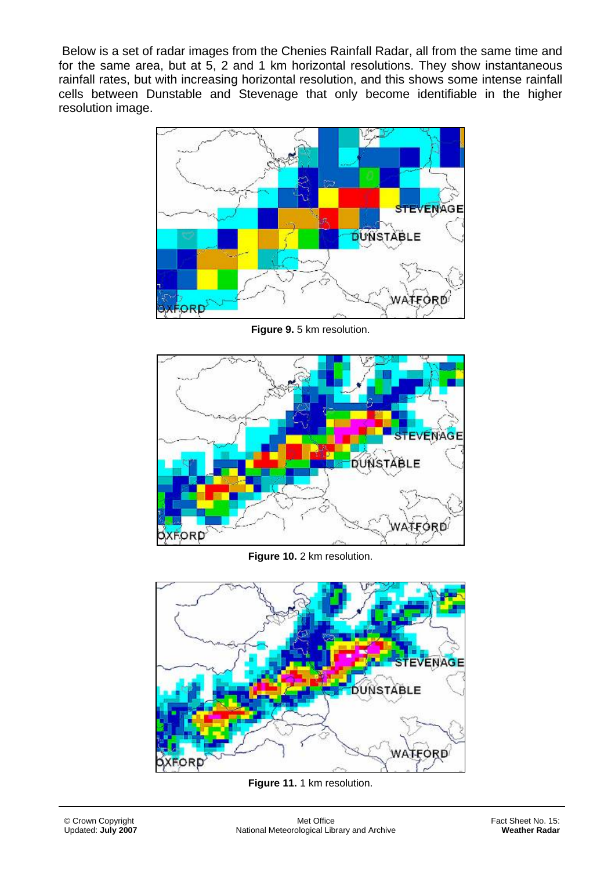Below is a set of radar images from the Chenies Rainfall Radar, all from the same time and for the same area, but at 5, 2 and 1 km horizontal resolutions. They show instantaneous rainfall rates, but with increasing horizontal resolution, and this shows some intense rainfall cells between Dunstable and Stevenage that only become identifiable in the higher resolution image.



**Figure 9.** 5 km resolution.



**Figure 10.** 2 km resolution.



**Figure 11.** 1 km resolution.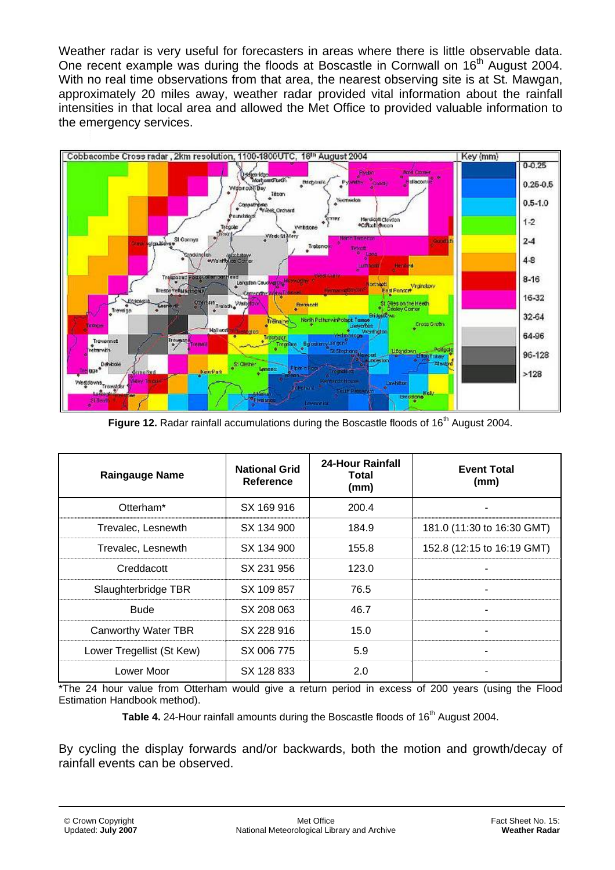Weather radar is very useful for forecasters in areas where there is little observable data. One recent example was during the floods at Boscastle in Cornwall on 16<sup>th</sup> August 2004. With no real time observations from that area, the nearest observing site is at St. Mawgan, approximately 20 miles away, weather radar provided vital information about the rainfall intensities in that local area and allowed the Met Office to provided valuable information to the emergency services.



Figure 12. Radar rainfall accumulations during the Boscastle floods of 16<sup>th</sup> August 2004.

| <b>Raingauge Name</b>     | <b>National Grid</b><br>Reference | <b>24-Hour Rainfall</b><br>Total<br>(mm) | <b>Event Total</b><br>(mm) |
|---------------------------|-----------------------------------|------------------------------------------|----------------------------|
| Otterham*                 | SX 169 916                        | 200.4                                    |                            |
| Trevalec, Lesnewth        | SX 134 900                        | 184.9                                    | 181.0 (11:30 to 16:30 GMT) |
| Trevalec, Lesnewth        | SX 134 900                        | 155.8                                    | 152.8 (12:15 to 16:19 GMT) |
| Creddacott                | SX 231 956                        | 123.0                                    |                            |
| Slaughterbridge TBR       | SX 109 857                        | 76.5                                     |                            |
| <b>Bude</b>               | SX 208 063                        | 46.7                                     |                            |
| Canworthy Water TBR       | SX 228 916                        | 15.0                                     |                            |
| Lower Tregellist (St Kew) | SX 006 775                        | 5.9                                      |                            |
| Lower Moor                | SX 128 833                        | 2.0                                      |                            |

\*The 24 hour value from Otterham would give a return period in excess of 200 years (using the Flood Estimation Handbook method).

**Table 4.** 24-Hour rainfall amounts during the Boscastle floods of 16<sup>th</sup> August 2004.

By cycling the display forwards and/or backwards, both the motion and growth/decay of rainfall events can be observed.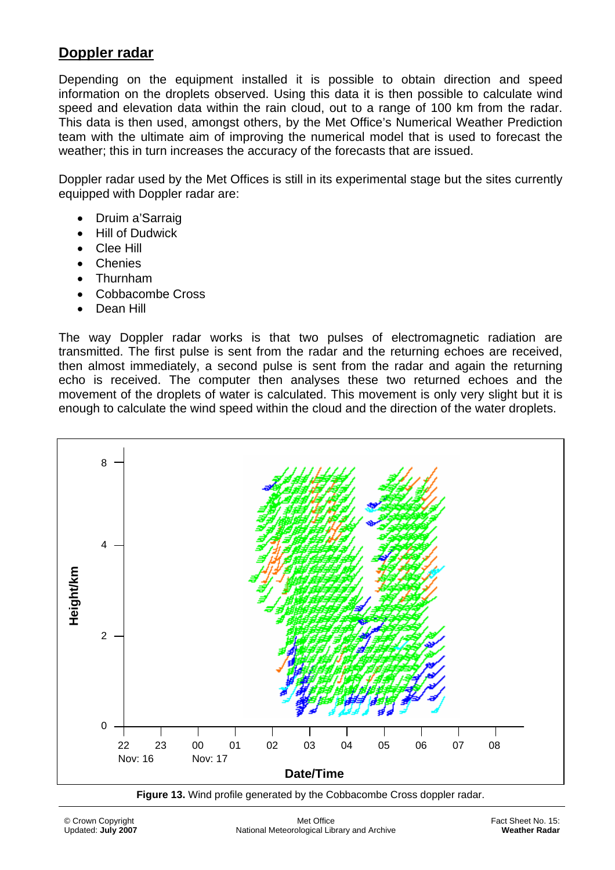### **Doppler radar**

Depending on the equipment installed it is possible to obtain direction and speed information on the droplets observed. Using this data it is then possible to calculate wind speed and elevation data within the rain cloud, out to a range of 100 km from the radar. This data is then used, amongst others, by the Met Office's Numerical Weather Prediction team with the ultimate aim of improving the numerical model that is used to forecast the weather; this in turn increases the accuracy of the forecasts that are issued.

Doppler radar used by the Met Offices is still in its experimental stage but the sites currently equipped with Doppler radar are:

- Druim a'Sarraig
- Hill of Dudwick
- Clee Hill
- Chenies
- Thurnham
- Cobbacombe Cross
- Dean Hill

The way Doppler radar works is that two pulses of electromagnetic radiation are transmitted. The first pulse is sent from the radar and the returning echoes are received, then almost immediately, a second pulse is sent from the radar and again the returning echo is received. The computer then analyses these two returned echoes and the movement of the droplets of water is calculated. This movement is only very slight but it is enough to calculate the wind speed within the cloud and the direction of the water droplets.





© Crown Copyright Updated: **July 2007**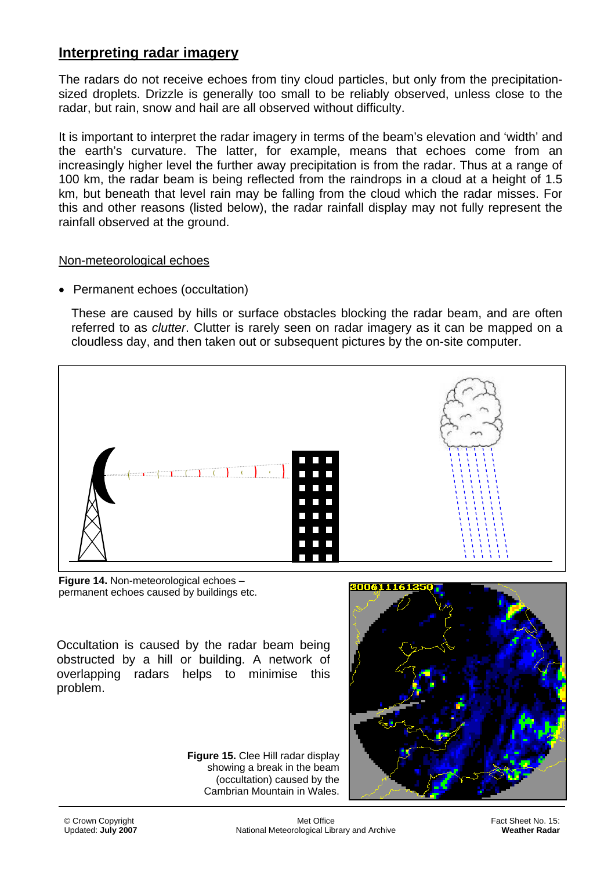## **Interpreting radar imagery**

The radars do not receive echoes from tiny cloud particles, but only from the precipitationsized droplets. Drizzle is generally too small to be reliably observed, unless close to the radar, but rain, snow and hail are all observed without difficulty.

It is important to interpret the radar imagery in terms of the beam's elevation and 'width' and the earth's curvature. The latter, for example, means that echoes come from an increasingly higher level the further away precipitation is from the radar. Thus at a range of 100 km, the radar beam is being reflected from the raindrops in a cloud at a height of 1.5 km, but beneath that level rain may be falling from the cloud which the radar misses. For this and other reasons (listed below), the radar rainfall display may not fully represent the rainfall observed at the ground.

#### Non-meteorological echoes

• Permanent echoes (occultation)

These are caused by hills or surface obstacles blocking the radar beam, and are often referred to as *clutter*. Clutter is rarely seen on radar imagery as it can be mapped on a cloudless day, and then taken out or subsequent pictures by the on-site computer.



**Figure 14.** Non-meteorological echoes – permanent echoes caused by buildings etc.

Occultation is caused by the radar beam being obstructed by a hill or building. A network of overlapping radars helps to minimise this problem.



 (occultation) caused by the **Figure 15.** Clee Hill radar display showing a break in the beam Cambrian Mountain in Wales.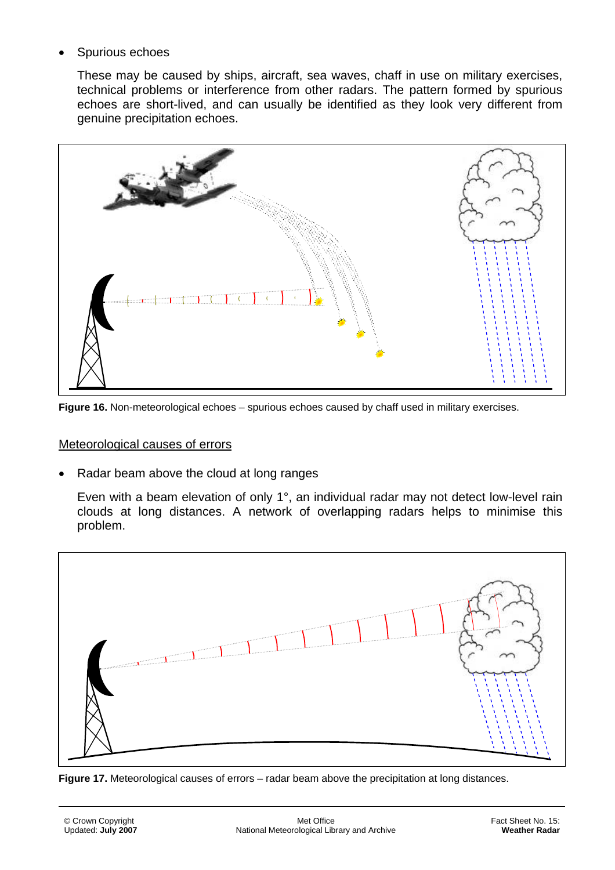• Spurious echoes

These may be caused by ships, aircraft, sea waves, chaff in use on military exercises, technical problems or interference from other radars. The pattern formed by spurious echoes are short-lived, and can usually be identified as they look very different from genuine precipitation echoes.



**Figure 16.** Non-meteorological echoes – spurious echoes caused by chaff used in military exercises.

#### Meteorological causes of errors

• Radar beam above the cloud at long ranges

Even with a beam elevation of only 1°, an individual radar may not detect low-level rain clouds at long distances. A network of overlapping radars helps to minimise this problem.



**Figure 17.** Meteorological causes of errors – radar beam above the precipitation at long distances.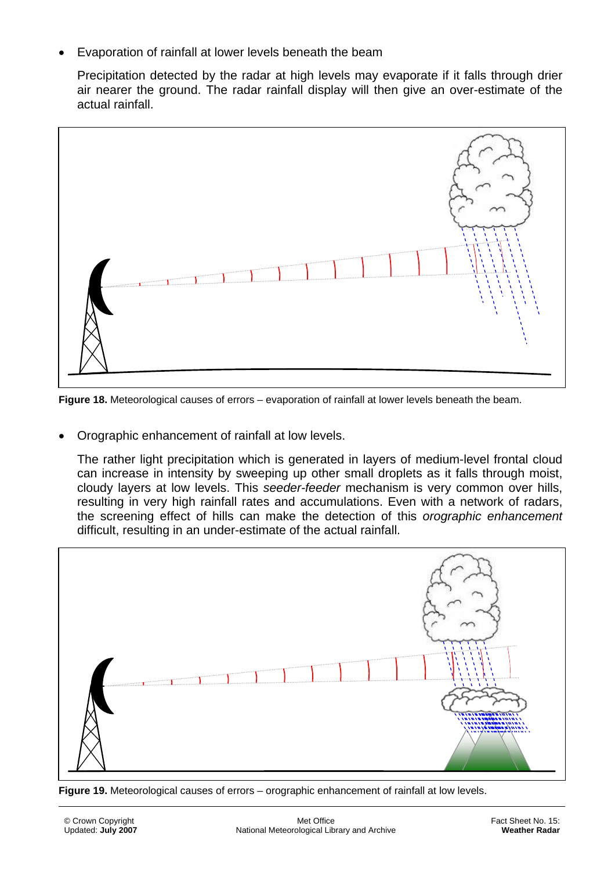• Evaporation of rainfall at lower levels beneath the beam

Precipitation detected by the radar at high levels may evaporate if it falls through drier air nearer the ground. The radar rainfall display will then give an over-estimate of the actual rainfall.



**Figure 18.** Meteorological causes of errors – evaporation of rainfall at lower levels beneath the beam.

• Orographic enhancement of rainfall at low levels.

The rather light precipitation which is generated in layers of medium-level frontal cloud can increase in intensity by sweeping up other small droplets as it falls through moist, cloudy layers at low levels. This *seeder-feeder* mechanism is very common over hills, resulting in very high rainfall rates and accumulations. Even with a network of radars, the screening effect of hills can make the detection of this *orographic enhancement* difficult, resulting in an under-estimate of the actual rainfall.



**Figure 19.** Meteorological causes of errors – orographic enhancement of rainfall at low levels.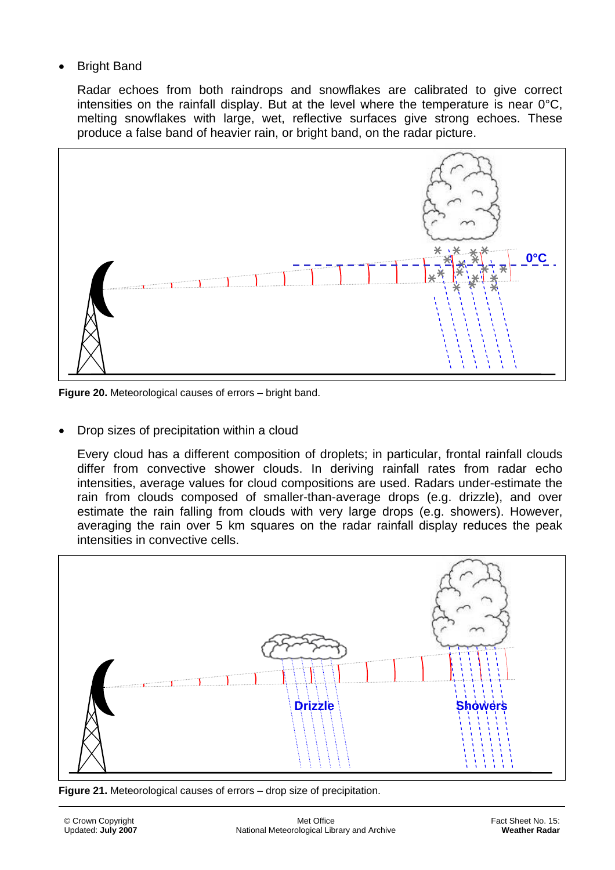**Bright Band** 

Radar echoes from both raindrops and snowflakes are calibrated to give correct intensities on the rainfall display. But at the level where the temperature is near 0°C, melting snowflakes with large, wet, reflective surfaces give strong echoes. These produce a false band of heavier rain, or bright band, on the radar picture.



**Figure 20.** Meteorological causes of errors – bright band.

• Drop sizes of precipitation within a cloud

Every cloud has a different composition of droplets; in particular, frontal rainfall clouds differ from convective shower clouds. In deriving rainfall rates from radar echo intensities, average values for cloud compositions are used. Radars under-estimate the rain from clouds composed of smaller-than-average drops (e.g. drizzle), and over estimate the rain falling from clouds with very large drops (e.g. showers). However, averaging the rain over 5 km squares on the radar rainfall display reduces the peak intensities in convective cells.



**Figure 21.** Meteorological causes of errors – drop size of precipitation.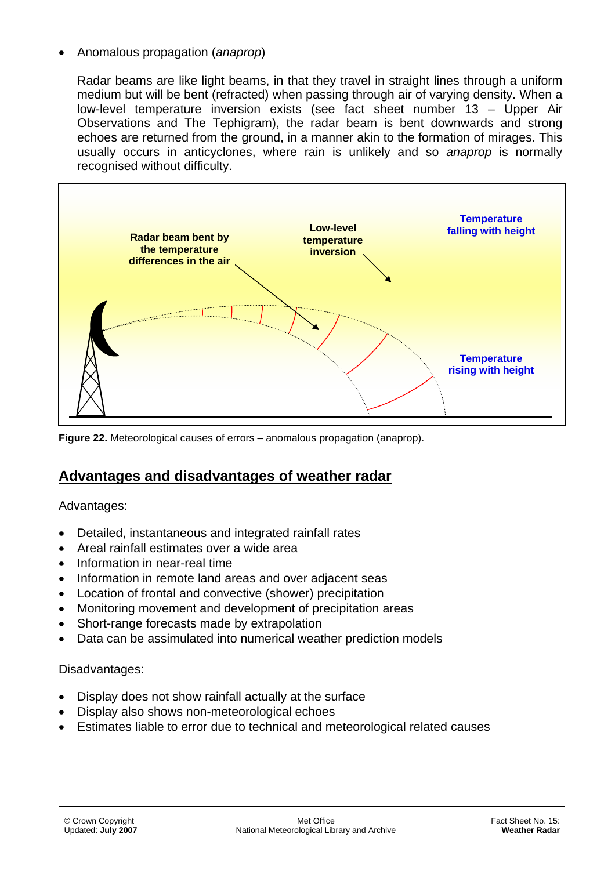• Anomalous propagation (*anaprop*)

Radar beams are like light beams, in that they travel in straight lines through a uniform medium but will be bent (refracted) when passing through air of varying density. When a low-level temperature inversion exists (see fact sheet number 13 – Upper Air Observations and The Tephigram), the radar beam is bent downwards and strong echoes are returned from the ground, in a manner akin to the formation of mirages. This usually occurs in anticyclones, where rain is unlikely and so *anaprop* is normally recognised without difficulty.



**Figure 22.** Meteorological causes of errors – anomalous propagation (anaprop).

## **Advantages and disadvantages of weather radar**

#### Advantages:

- Detailed, instantaneous and integrated rainfall rates
- Areal rainfall estimates over a wide area
- Information in near-real time
- Information in remote land areas and over adjacent seas
- Location of frontal and convective (shower) precipitation
- Monitoring movement and development of precipitation areas
- Short-range forecasts made by extrapolation
- Data can be assimulated into numerical weather prediction models

#### Disadvantages:

- Display does not show rainfall actually at the surface
- Display also shows non-meteorological echoes
- Estimates liable to error due to technical and meteorological related causes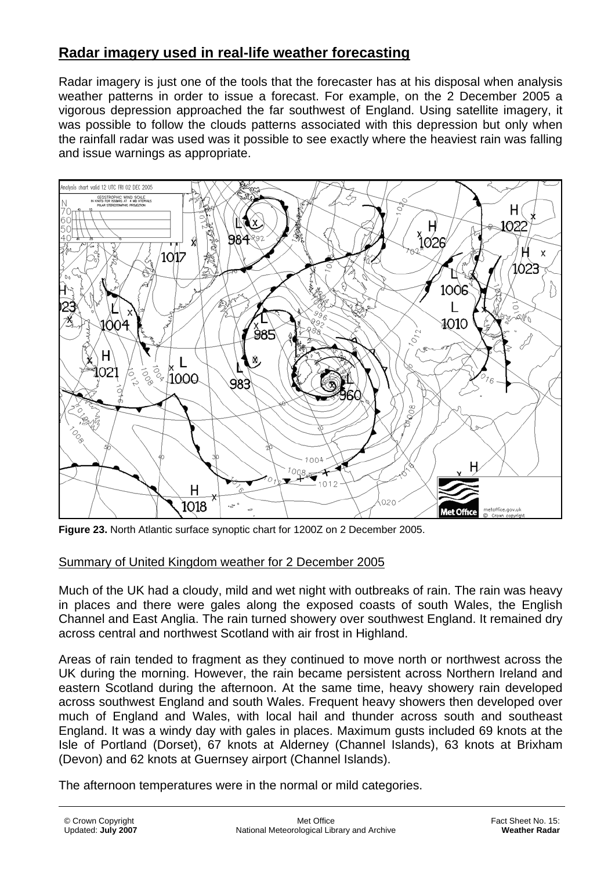## **Radar imagery used in real-life weather forecasting**

Radar imagery is just one of the tools that the forecaster has at his disposal when analysis weather patterns in order to issue a forecast. For example, on the 2 December 2005 a vigorous depression approached the far southwest of England. Using satellite imagery, it was possible to follow the clouds patterns associated with this depression but only when the rainfall radar was used was it possible to see exactly where the heaviest rain was falling and issue warnings as appropriate.



**Figure 23.** North Atlantic surface synoptic chart for 1200Z on 2 December 2005.

#### Summary of United Kingdom weather for 2 December 2005

Much of the UK had a cloudy, mild and wet night with outbreaks of rain. The rain was heavy in places and there were gales along the exposed coasts of south Wales, the English Channel and East Anglia. The rain turned showery over southwest England. It remained dry across central and northwest Scotland with air frost in Highland.

Areas of rain tended to fragment as they continued to move north or northwest across the UK during the morning. However, the rain became persistent across Northern Ireland and eastern Scotland during the afternoon. At the same time, heavy showery rain developed across southwest England and south Wales. Frequent heavy showers then developed over much of England and Wales, with local hail and thunder across south and southeast England. It was a windy day with gales in places. Maximum gusts included 69 knots at the Isle of Portland (Dorset), 67 knots at Alderney (Channel Islands), 63 knots at Brixham (Devon) and 62 knots at Guernsey airport (Channel Islands).

The afternoon temperatures were in the normal or mild categories.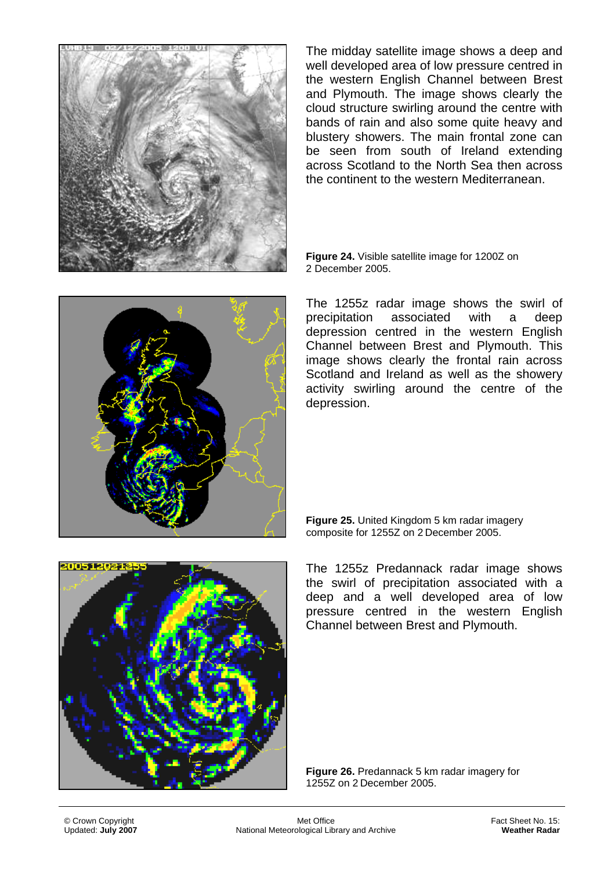

The midday satellite image shows a deep and well developed area of low pressure centred in the western English Channel between Brest and Plymouth. The image shows clearly the cloud structure swirling around the centre with bands of rain and also some quite heavy and blustery showers. The main frontal zone can be seen from south of Ireland extending across Scotland to the North Sea then across the continent to the western Mediterranean.

**Figure 24.** Visible satellite image for 1200Z on 2 December 2005.



The 1255z radar image shows the swirl of precipitation associated with a deep depression centred in the western English Channel between Brest and Plymouth. This image shows clearly the frontal rain across Scotland and Ireland as well as the showery activity swirling around the centre of the depression.

**Figure 25.** United Kingdom 5 km radar imagery composite for 1255Z on 2 December 2005.



The 1255z Predannack radar image shows the swirl of precipitation associated with a deep and a well developed area of low pressure centred in the western English Channel between Brest and Plymouth.

**Figure 26.** Predannack 5 km radar imagery for 1255Z on 2 December 2005.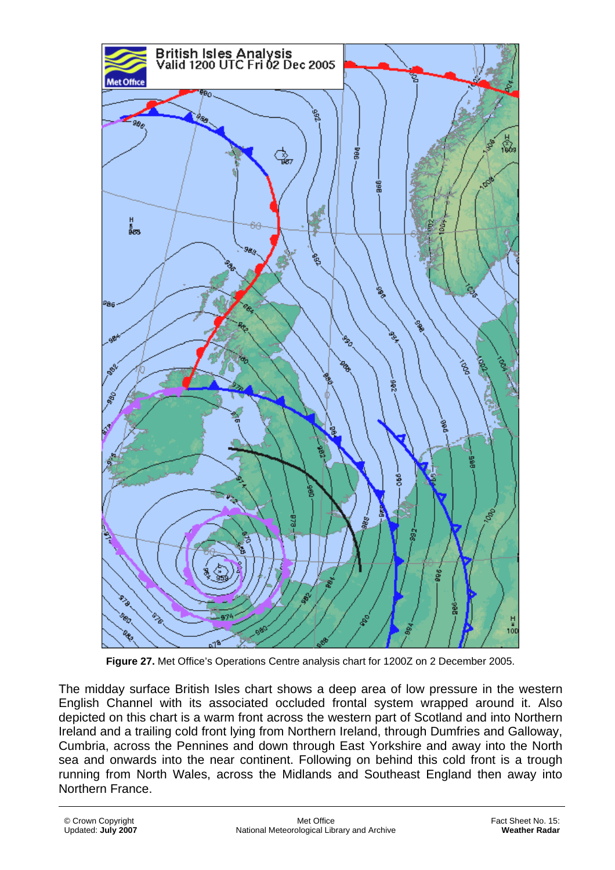

**Figure 27.** Met Office's Operations Centre analysis chart for 1200Z on 2 December 2005.

The midday surface British Isles chart shows a deep area of low pressure in the western English Channel with its associated occluded frontal system wrapped around it. Also depicted on this chart is a warm front across the western part of Scotland and into Northern Ireland and a trailing cold front lying from Northern Ireland, through Dumfries and Galloway, Cumbria, across the Pennines and down through East Yorkshire and away into the North sea and onwards into the near continent. Following on behind this cold front is a trough running from North Wales, across the Midlands and Southeast England then away into Northern France.